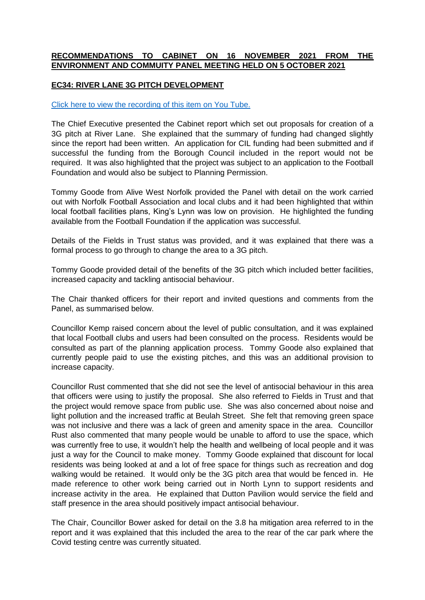## **RECOMMENDATIONS TO CABINET ON 16 NOVEMBER 2021 FROM THE ENVIRONMENT AND COMMUITY PANEL MEETING HELD ON 5 OCTOBER 2021**

## **EC34: RIVER LANE 3G PITCH DEVELOPMENT**

## [Click here to view the recording of this item](https://youtu.be/jqbasqulCls?t=272) on You Tube.

The Chief Executive presented the Cabinet report which set out proposals for creation of a 3G pitch at River Lane. She explained that the summary of funding had changed slightly since the report had been written. An application for CIL funding had been submitted and if successful the funding from the Borough Council included in the report would not be required. It was also highlighted that the project was subject to an application to the Football Foundation and would also be subject to Planning Permission.

Tommy Goode from Alive West Norfolk provided the Panel with detail on the work carried out with Norfolk Football Association and local clubs and it had been highlighted that within local football facilities plans, King's Lynn was low on provision. He highlighted the funding available from the Football Foundation if the application was successful.

Details of the Fields in Trust status was provided, and it was explained that there was a formal process to go through to change the area to a 3G pitch.

Tommy Goode provided detail of the benefits of the 3G pitch which included better facilities, increased capacity and tackling antisocial behaviour.

The Chair thanked officers for their report and invited questions and comments from the Panel, as summarised below.

Councillor Kemp raised concern about the level of public consultation, and it was explained that local Football clubs and users had been consulted on the process. Residents would be consulted as part of the planning application process. Tommy Goode also explained that currently people paid to use the existing pitches, and this was an additional provision to increase capacity.

Councillor Rust commented that she did not see the level of antisocial behaviour in this area that officers were using to justify the proposal. She also referred to Fields in Trust and that the project would remove space from public use. She was also concerned about noise and light pollution and the increased traffic at Beulah Street. She felt that removing green space was not inclusive and there was a lack of green and amenity space in the area. Councillor Rust also commented that many people would be unable to afford to use the space, which was currently free to use, it wouldn't help the health and wellbeing of local people and it was just a way for the Council to make money. Tommy Goode explained that discount for local residents was being looked at and a lot of free space for things such as recreation and dog walking would be retained. It would only be the 3G pitch area that would be fenced in. He made reference to other work being carried out in North Lynn to support residents and increase activity in the area. He explained that Dutton Pavilion would service the field and staff presence in the area should positively impact antisocial behaviour.

The Chair, Councillor Bower asked for detail on the 3.8 ha mitigation area referred to in the report and it was explained that this included the area to the rear of the car park where the Covid testing centre was currently situated.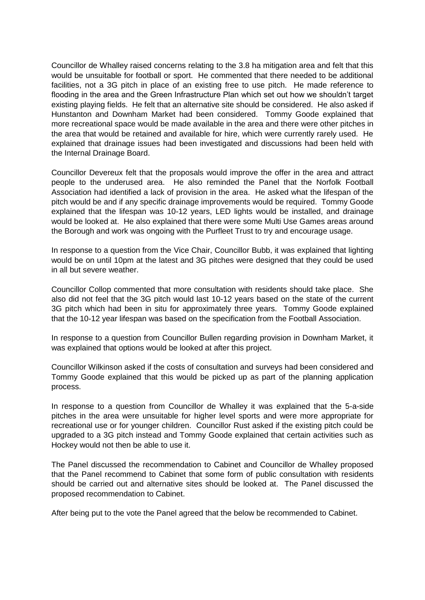Councillor de Whalley raised concerns relating to the 3.8 ha mitigation area and felt that this would be unsuitable for football or sport. He commented that there needed to be additional facilities, not a 3G pitch in place of an existing free to use pitch. He made reference to flooding in the area and the Green Infrastructure Plan which set out how we shouldn't target existing playing fields. He felt that an alternative site should be considered. He also asked if Hunstanton and Downham Market had been considered. Tommy Goode explained that more recreational space would be made available in the area and there were other pitches in the area that would be retained and available for hire, which were currently rarely used. He explained that drainage issues had been investigated and discussions had been held with the Internal Drainage Board.

Councillor Devereux felt that the proposals would improve the offer in the area and attract people to the underused area. He also reminded the Panel that the Norfolk Football Association had identified a lack of provision in the area. He asked what the lifespan of the pitch would be and if any specific drainage improvements would be required. Tommy Goode explained that the lifespan was 10-12 years, LED lights would be installed, and drainage would be looked at. He also explained that there were some Multi Use Games areas around the Borough and work was ongoing with the Purfleet Trust to try and encourage usage.

In response to a question from the Vice Chair, Councillor Bubb, it was explained that lighting would be on until 10pm at the latest and 3G pitches were designed that they could be used in all but severe weather.

Councillor Collop commented that more consultation with residents should take place. She also did not feel that the 3G pitch would last 10-12 years based on the state of the current 3G pitch which had been in situ for approximately three years. Tommy Goode explained that the 10-12 year lifespan was based on the specification from the Football Association.

In response to a question from Councillor Bullen regarding provision in Downham Market, it was explained that options would be looked at after this project.

Councillor Wilkinson asked if the costs of consultation and surveys had been considered and Tommy Goode explained that this would be picked up as part of the planning application process.

In response to a question from Councillor de Whalley it was explained that the 5-a-side pitches in the area were unsuitable for higher level sports and were more appropriate for recreational use or for younger children. Councillor Rust asked if the existing pitch could be upgraded to a 3G pitch instead and Tommy Goode explained that certain activities such as Hockey would not then be able to use it.

The Panel discussed the recommendation to Cabinet and Councillor de Whalley proposed that the Panel recommend to Cabinet that some form of public consultation with residents should be carried out and alternative sites should be looked at. The Panel discussed the proposed recommendation to Cabinet.

After being put to the vote the Panel agreed that the below be recommended to Cabinet.